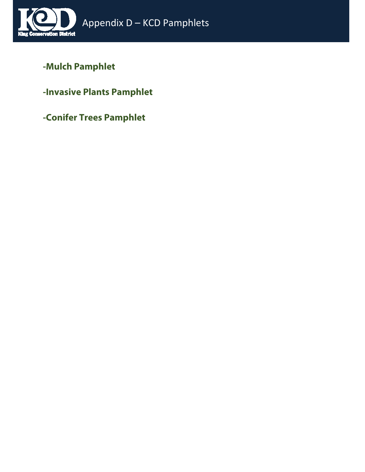

## **-Mulch Pamphlet**

**-Invasive Plants Pamphlet**

**-Conifer Trees Pamphlet**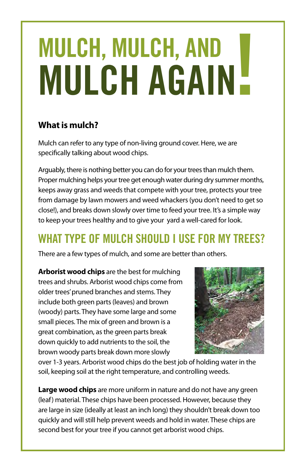# MULCH, MULCH, AND **MULCH AGAIN!**

#### **What is mulch?**

Mulch can refer to any type of non-living ground cover. Here, we are specifically talking about wood chips.

Arguably, there is nothing better you can do for your trees than mulch them. Proper mulching helps your tree get enough water during dry summer months, keeps away grass and weeds that compete with your tree, protects your tree from damage by lawn mowers and weed whackers (you don't need to get so close!), and breaks down slowly over time to feed your tree. It's a simple way to keep your trees healthy and to give your yard a well-cared for look.

## **WHAT TYPE OF MULCH SHOULD I USE FOR MY TREES?**

There are a few types of mulch, and some are better than others.

**Arborist wood chips** are the best for mulching trees and shrubs. Arborist wood chips come from older trees' pruned branches and stems. They include both green parts (leaves) and brown (woody) parts. They have some large and some small pieces. The mix of green and brown is a great combination, as the green parts break down quickly to add nutrients to the soil, the brown woody parts break down more slowly



over 1-3 years. Arborist wood chips do the best job of holding water in the soil, keeping soil at the right temperature, and controlling weeds.

Large wood chips are more uniform in nature and do not have any green (leaf) material. These chips have been processed. However, because they are large in size (ideally at least an inch long) they shouldn't break down too quickly and will still help prevent weeds and hold in water. These chips are second best for your tree if you cannot get arborist wood chips.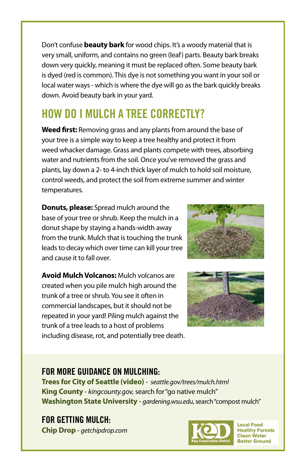Don't confuse **beauty bark** for wood chips. It's a woody material that is very small, uniform, and contains no green (leaf) parts. Beauty bark breaks down very quickly, meaning it must be replaced often. Some beauty bark is dyed (red is common). This dye is not something you want in your soil or local water ways - which is where the dye will go as the bark quickly breaks down. Avoid beauty bark in your yard.

## HOW DO I MULCH A TREE CORRECTLY?

**Weed first:** Removing grass and any plants from around the base of your tree is a simple way to keep a tree healthy and protect it from weed whacker damage. Grass and plants compete with trees, absorbing water and nutrients from the soil. Once you've removed the grass and plants, lay down a 2- to 4-inch thick layer of mulch to hold soil moisture, control weeds, and protect the soil from extreme summer and winter temperatures.

**Donuts, please:** Spread mulch around the base of your tree or shrub. Keep the mulch in a donut shape by staying a hands-width away from the trunk. Mulch that is touching the trunk leads to decay which over time can kill your tree and cause it to fall over.

**Avoid Mulch Volcanos: Mulch volcanos are** created when you pile mulch high around the trunk of a tree or shrub. You see it often in commercial landscapes, but it should not be repeated in your yard! Piling mulch against the trunk of a tree leads to a host of problems including disease, rot, and potentially tree death.





#### FOR MORE GUIDANCE ON MULCHING:

**Trees for City of Seattle (video)** - *seattle.gov/trees/mulch.html*  **King County** - *kingcounty.gov,* search for "go native mulch" **Washington State University** - *gardening.wsu.edu*, search "compost mulch"

FOR GETTING MULCH: **Chip Drop** - *getchipdrop.com*



**Local Food Healthy Forests Clean Water Better Ground**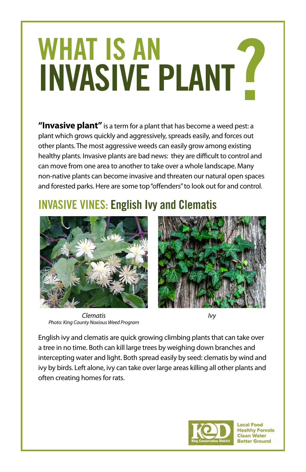## WHAT IS AN **INVASIVE PLANT F**

**"Invasive plant"** is a term for a plant that has become a weed pest: a plant which grows quickly and aggressively, spreads easily, and forces out other plants. The most aggressive weeds can easily grow among existing healthy plants. Invasive plants are bad news: they are difficult to control and can move from one area to another to take over a whole landscape. Many non-native plants can become invasive and threaten our natural open spaces and forested parks. Here are some top "offenders" to look out for and control.

## INVASIVE VINES: English Ivy and Clematis



*Clematis Photo: King County Noxious Weed Program*



*Ivy*

English ivy and clematis are quick growing climbing plants that can take over a tree in no time. Both can kill large trees by weighing down branches and intercepting water and light. Both spread easily by seed: clematis by wind and ivy by birds. Left alone, ivy can take over large areas killing all other plants and often creating homes for rats.



**Local Food Healthy Forests Clean Water Better Ground**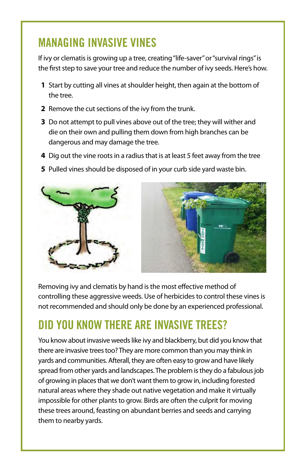#### MANAGING INVASIVE VINES

If ivy or clematis is growing up a tree, creating "life-saver" or "survival rings" is the first step to save your tree and reduce the number of ivy seeds. Here's how.

- **1** Start by cutting all vines at shoulder height, then again at the bottom of the tree.
- **2** Remove the cut sections of the ivy from the trunk.
- **3** Do not attempt to pull vines above out of the tree; they will wither and die on their own and pulling them down from high branches can be dangerous and may damage the tree.
- **4** Dig out the vine roots in a radius that is at least 5 feet away from the tree
- **5** Pulled vines should be disposed of in your curb side yard waste bin.



Removing ivy and clematis by hand is the most effective method of controlling these aggressive weeds. Use of herbicides to control these vines is not recommended and should only be done by an experienced professional.

#### DID YOU KNOW THERE ARE INVASIVE TREES?

You know about invasive weeds like ivy and blackberry, but did you know that there are invasive trees too? They are more common than you may think in yards and communities. Afterall, they are often easy to grow and have likely spread from other yards and landscapes. The problem is they do a fabulous job of growing in places that we don't want them to grow in, including forested natural areas where they shade out native vegetation and make it virtually impossible for other plants to grow. Birds are often the culprit for moving these trees around, feasting on abundant berries and seeds and carrying them to nearby yards.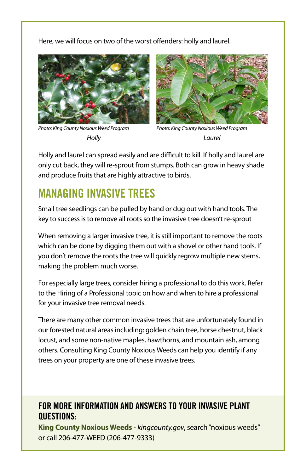Here, we will focus on two of the worst offenders: holly and laurel.



*Photo: King County Noxious Weed Program Holly*



*Photo: King County Noxious Weed Program Laurel*

Holly and laurel can spread easily and are difficult to kill. If holly and laurel are only cut back, they will re-sprout from stumps. Both can grow in heavy shade and produce fruits that are highly attractive to birds.

#### MANAGING INVASIVE TREES

Small tree seedlings can be pulled by hand or dug out with hand tools. The key to success is to remove all roots so the invasive tree doesn't re-sprout

When removing a larger invasive tree, it is still important to remove the roots which can be done by digging them out with a shovel or other hand tools. If you don't remove the roots the tree will quickly regrow multiple new stems, making the problem much worse.

For especially large trees, consider hiring a professional to do this work. Refer to the Hiring of a Professional topic on how and when to hire a professional for your invasive tree removal needs.

There are many other common invasive trees that are unfortunately found in our forested natural areas including: golden chain tree, horse chestnut, black locust, and some non-native maples, hawthorns, and mountain ash, among others. Consulting King County Noxious Weeds can help you identify if any trees on your property are one of these invasive trees.

#### FOR MORE INFORMATION AND ANSWERS TO YOUR INVASIVE PLANT QUESTIONS:

**King County Noxious Weeds** - *kingcounty.gov*, search "noxious weeds" or call 206-477-WEED (206-477-9333)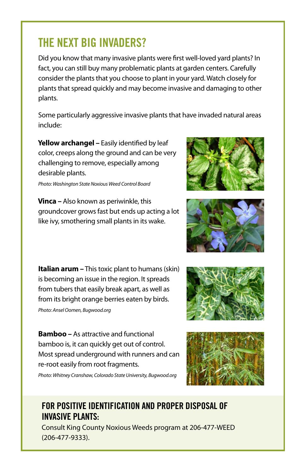#### THE NEXT BIG INVADERS?

Did you know that many invasive plants were first well-loved yard plants? In fact, you can still buy many problematic plants at garden centers. Carefully consider the plants that you choose to plant in your yard. Watch closely for plants that spread quickly and may become invasive and damaging to other plants.

Some particularly aggressive invasive plants that have invaded natural areas include:

Yellow archangel - Easily identified by leaf color, creeps along the ground and can be very challenging to remove, especially among desirable plants.

*Photo: Washington State Noxious Weed Control Board*

**Vinca –** Also known as periwinkle, this groundcover grows fast but ends up acting a lot like ivy, smothering small plants in its wake.

**Italian arum –** This toxic plant to humans (skin) is becoming an issue in the region. It spreads from tubers that easily break apart, as well as from its bright orange berries eaten by birds. *Photo: Ansel Oomen, Bugwood.org*

**Bamboo –** As attractive and functional bamboo is, it can quickly get out of control. Most spread underground with runners and can re-root easily from root fragments.

*Photo: Whitney Cranshaw, Colorado State University, Bugwood.org*

#### FOR POSITIVE IDENTIFICATION AND PROPER DISPOSAL OF INVASIVE PLANTS:

Consult King County Noxious Weeds program at 206-477-WEED (206-477-9333).







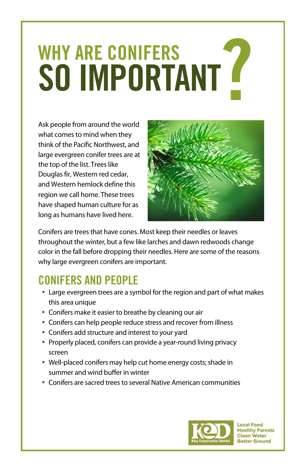## WHY ARE CONIFERS SO IMPORTANT<sup>®</sup>

Ask people from around the world what comes to mind when they think of the Pacific Northwest, and large evergreen conifer trees are at the top of the list. Trees like Douglas fir, Western red cedar, and Western hemlock define this region we call home. These trees have shaped human culture for as long as humans have lived here.



Conifers are trees that have cones. Most keep their needles or leaves throughout the winter, but a few like larches and dawn redwoods change color in the fall before dropping their needles. Here are some of the reasons why large evergreen conifers are important.

#### CONIFERS AND PEOPLE

- Large evergreen trees are a symbol for the region and part of what makes this area unique
- Conifers make it easier to breathe by cleaning our air
- Conifers can help people reduce stress and recover from illness
- Conifers add structure and interest to your yard
- Properly placed, conifers can provide a year-round living privacy screen
- Well-placed conifers may help cut home energy costs; shade in summer and wind buffer in winter
- Conifers are sacred trees to several Native American communities



**Local Food Healthy Forests Clean Water Better Ground**